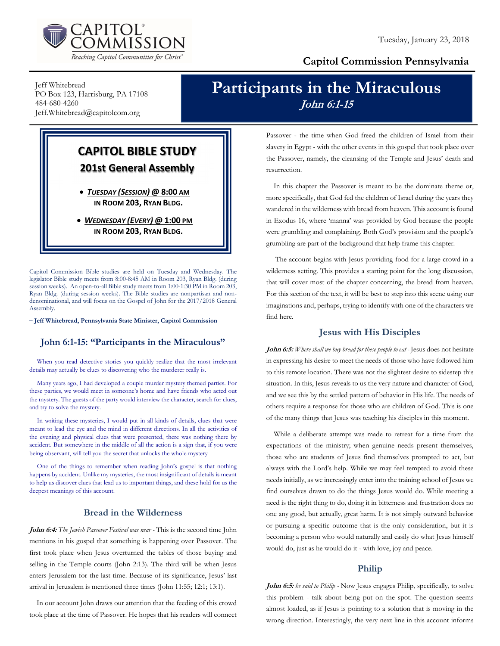

### Capitol Commission Pennsylvania

Jeff Whitebread PO Box 123, Harrisburg, PA 17108 484-680-4260 Jeff.Whitebread@capitolcom.org

# Participants in the Miraculous John 6:1-15

## CAPITOL BIBLE STUDY 201st General Assembly

 TUESDAY (SESSION) @ 8:00 AM IN ROOM 203, RYAN BLDG.

• WEDNESDAY (EVERY) @ 1:00 PM IN ROOM 203, RYAN BLDG.

Capitol Commission Bible studies are held on Tuesday and Wednesday. The legislator Bible study meets from 8:00-8:45 AM in Room 203, Ryan Bldg. (during session weeks). An open-to-all Bible study meets from 1:00-1:30 PM in Room 203, Ryan Bldg. (during session weeks). The Bible studies are nonpartisan and nondenominational, and will focus on the Gospel of John for the 2017/2018 General Assembly.

– Jeff Whitebread, Pennsylvania State Minister, Capitol Commission

#### John 6:1-15: "Participants in the Miraculous"

When you read detective stories you quickly realize that the most irrelevant details may actually be clues to discovering who the murderer really is.

Many years ago, I had developed a couple murder mystery themed parties. For these parties, we would meet in someone's home and have friends who acted out the mystery. The guests of the party would interview the character, search for clues, and try to solve the mystery.

In writing these mysteries, I would put in all kinds of details, clues that were meant to lead the eye and the mind in different directions. In all the activities of the evening and physical clues that were presented, there was nothing there by accident. But somewhere in the middle of all the action is a sign that, if you were being observant, will tell you the secret that unlocks the whole mystery

One of the things to remember when reading John's gospel is that nothing happens by accident. Unlike my mysteries, the most insignificant of details is meant to help us discover clues that lead us to important things, and these hold for us the deepest meanings of this account.

#### Bread in the Wilderness

John 6:4: The Jewish Passover Festival was near - This is the second time John mentions in his gospel that something is happening over Passover. The first took place when Jesus overturned the tables of those buying and selling in the Temple courts (John 2:13). The third will be when Jesus enters Jerusalem for the last time. Because of its significance, Jesus' last arrival in Jerusalem is mentioned three times (John 11:55; 12:1; 13:1).

In our account John draws our attention that the feeding of this crowd took place at the time of Passover. He hopes that his readers will connect Passover - the time when God freed the children of Israel from their slavery in Egypt - with the other events in this gospel that took place over the Passover, namely, the cleansing of the Temple and Jesus' death and resurrection.

In this chapter the Passover is meant to be the dominate theme or, more specifically, that God fed the children of Israel during the years they wandered in the wilderness with bread from heaven. This account is found in Exodus 16, where 'manna' was provided by God because the people were grumbling and complaining. Both God's provision and the people's grumbling are part of the background that help frame this chapter.

 The account begins with Jesus providing food for a large crowd in a wilderness setting. This provides a starting point for the long discussion, that will cover most of the chapter concerning, the bread from heaven. For this section of the text, it will be best to step into this scene using our imaginations and, perhaps, trying to identify with one of the characters we find here.

#### Jesus with His Disciples

John 6:5: Where shall we buy bread for these people to eat - Jesus does not hesitate in expressing his desire to meet the needs of those who have followed him to this remote location. There was not the slightest desire to sidestep this situation. In this, Jesus reveals to us the very nature and character of God, and we see this by the settled pattern of behavior in His life. The needs of others require a response for those who are children of God. This is one of the many things that Jesus was teaching his disciples in this moment.

While a deliberate attempt was made to retreat for a time from the expectations of the ministry; when genuine needs present themselves, those who are students of Jesus find themselves prompted to act, but always with the Lord's help. While we may feel tempted to avoid these needs initially, as we increasingly enter into the training school of Jesus we find ourselves drawn to do the things Jesus would do. While meeting a need is the right thing to do, doing it in bitterness and frustration does no one any good, but actually, great harm. It is not simply outward behavior or pursuing a specific outcome that is the only consideration, but it is becoming a person who would naturally and easily do what Jesus himself would do, just as he would do it - with love, joy and peace.

#### Philip

John 6:5: he said to Philip - Now Jesus engages Philip, specifically, to solve this problem - talk about being put on the spot. The question seems almost loaded, as if Jesus is pointing to a solution that is moving in the wrong direction. Interestingly, the very next line in this account informs